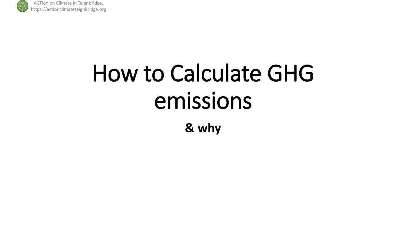

# How to Calculate GHG emissions **& why**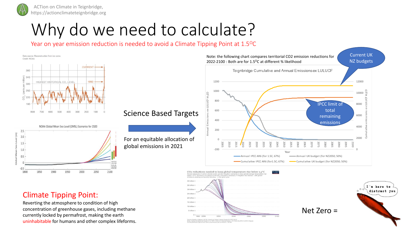

 $\tilde{E}$ 

 $\overline{z}$ 

 $\frac{1}{2}$ 

ACTion on Climate in Teignbridge, https://actionclimateteignbridge.org

## Why do we need to calculate?

Year on year emission reduction is needed to avoid a Climate Tipping Point at 1.5<sup>o</sup>C



.<br>In Global Carbon Project & IPPC SR15<br>a ≻66% chance of staying below 1.5°C from the IPCC's SR15 Report CC BY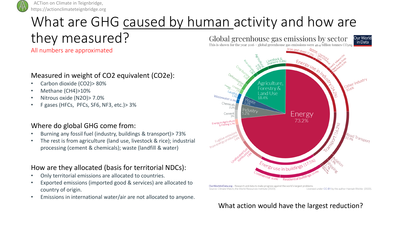

### What are GHG caused by human activity and how are

they measured?

All numbers are approximated

#### Measured in weight of CO2 equivalent (CO2e):

- Carbon dioxide (CO2)> 80%
- Methane (CH4)>10%
- Nitrous oxide (N2O)> 7.0%
- F gases (HFCs, PFCs, SF6, NF3, etc.)> 3%

#### Where do global GHG come from:

- Burning any fossil fuel (industry, buildings & transport)> 73%
- The rest is from agriculture (land use, livestock & rice); industrial processing (cement & chemicals); waste (landfill & water)

#### How are they allocated (basis for territorial NDCs):

- Only territorial emissions are allocated to countries.
- Exported emissions (imported good & services) are allocated to country of origin.
- Emissions in international water/air are not allocated to anyone.



Our Worldin Data.org - Research and data to make progress against the world's largest problems Source: Climate Watch, the World Resources Institute (2020) Licensed under CC-BY by the author Hannah Ritchie (2020).

#### What action would have the largest reduction?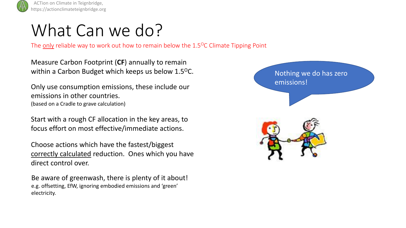

### What Can we do?

The only reliable way to work out how to remain below the  $1.5^{\circ}$ C Climate Tipping Point

Measure Carbon Footprint (**CF**) annually to remain within a Carbon Budget which keeps us below 1.5<sup>o</sup>C.

Only use consumption emissions, these include our emissions in other countries. (based on a Cradle to grave calculation)

Start with a rough CF allocation in the key areas, to focus effort on most effective/immediate actions.

Choose actions which have the fastest/biggest correctly calculated reduction. Ones which you have direct control over.

Be aware of greenwash, there is plenty of it about! e.g. offsetting, EfW, ignoring embodied emissions and 'green' electricity.

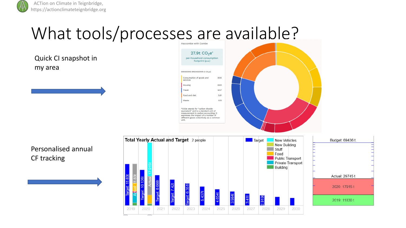## What tools/processes are available?

Quick CI snapshot in my area



Personalised annual CF tracking